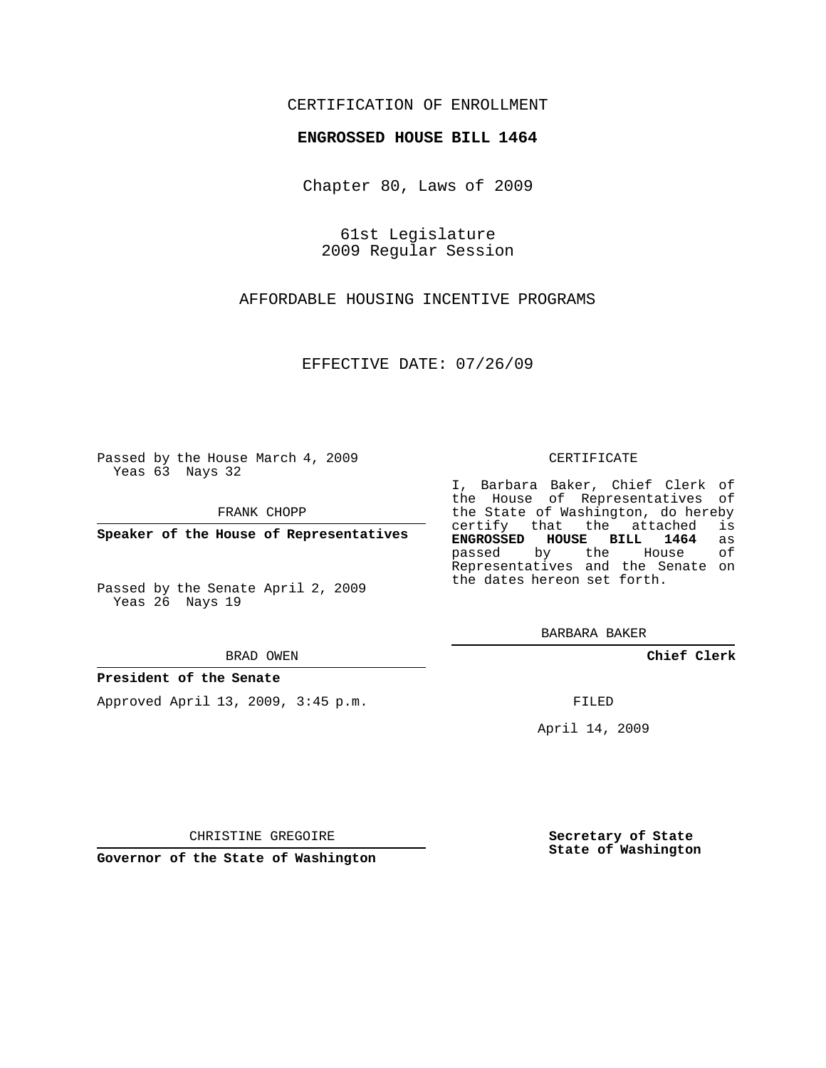## CERTIFICATION OF ENROLLMENT

### **ENGROSSED HOUSE BILL 1464**

Chapter 80, Laws of 2009

61st Legislature 2009 Regular Session

AFFORDABLE HOUSING INCENTIVE PROGRAMS

EFFECTIVE DATE: 07/26/09

Passed by the House March 4, 2009 Yeas 63 Nays 32

FRANK CHOPP

**Speaker of the House of Representatives**

Passed by the Senate April 2, 2009 Yeas 26 Nays 19

#### BRAD OWEN

#### **President of the Senate**

Approved April 13, 2009, 3:45 p.m.

#### CERTIFICATE

I, Barbara Baker, Chief Clerk of the House of Representatives of the State of Washington, do hereby<br>certify that the attached is certify that the attached **ENGROSSED HOUSE BILL 1464** as passed by the House Representatives and the Senate on the dates hereon set forth.

BARBARA BAKER

**Chief Clerk**

FILED

April 14, 2009

**Secretary of State State of Washington**

**Governor of the State of Washington**

CHRISTINE GREGOIRE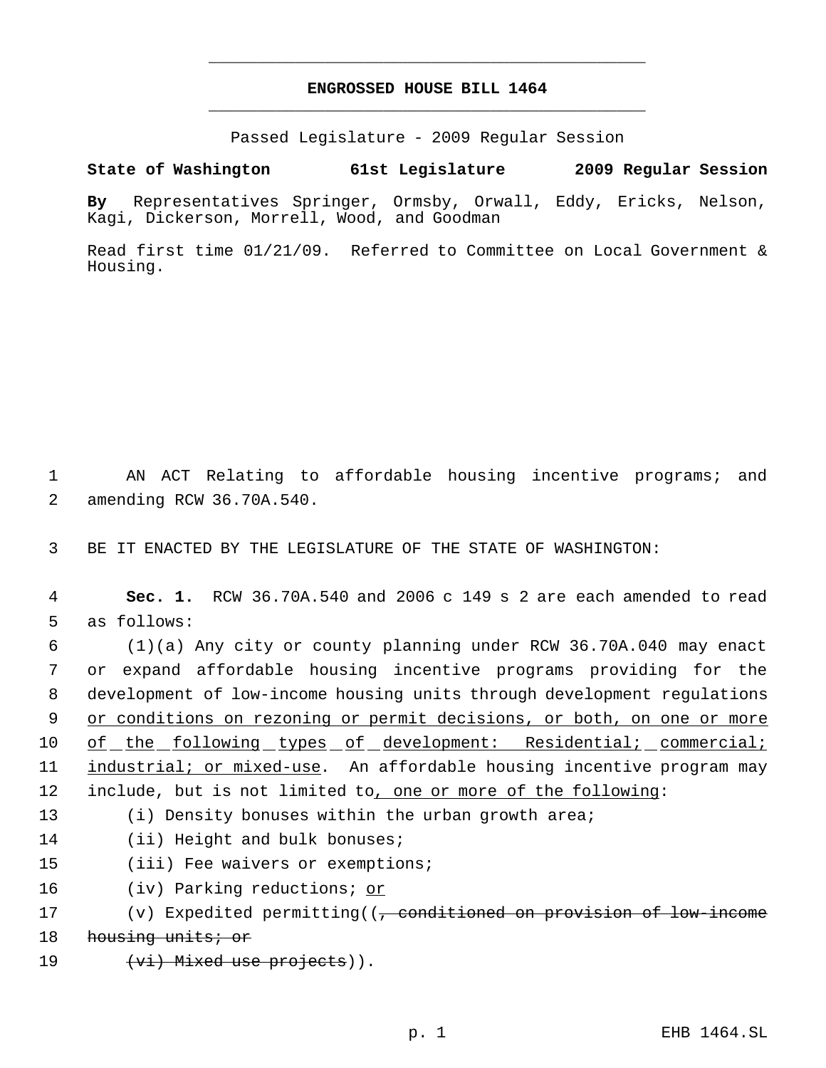# **ENGROSSED HOUSE BILL 1464** \_\_\_\_\_\_\_\_\_\_\_\_\_\_\_\_\_\_\_\_\_\_\_\_\_\_\_\_\_\_\_\_\_\_\_\_\_\_\_\_\_\_\_\_\_

\_\_\_\_\_\_\_\_\_\_\_\_\_\_\_\_\_\_\_\_\_\_\_\_\_\_\_\_\_\_\_\_\_\_\_\_\_\_\_\_\_\_\_\_\_

Passed Legislature - 2009 Regular Session

## **State of Washington 61st Legislature 2009 Regular Session**

**By** Representatives Springer, Ormsby, Orwall, Eddy, Ericks, Nelson, Kagi, Dickerson, Morrell, Wood, and Goodman

Read first time 01/21/09. Referred to Committee on Local Government & Housing.

 1 AN ACT Relating to affordable housing incentive programs; and 2 amending RCW 36.70A.540.

3 BE IT ENACTED BY THE LEGISLATURE OF THE STATE OF WASHINGTON:

 4 **Sec. 1.** RCW 36.70A.540 and 2006 c 149 s 2 are each amended to read 5 as follows:

 (1)(a) Any city or county planning under RCW 36.70A.040 may enact or expand affordable housing incentive programs providing for the development of low-income housing units through development regulations 9 or conditions on rezoning or permit decisions, or both, on one or more of the following types of development: Residential; commercial; industrial; or mixed-use. An affordable housing incentive program may include, but is not limited to, one or more of the following:

13 (i) Density bonuses within the urban growth area;

14 (ii) Height and bulk bonuses;

- 15 (iii) Fee waivers or exemptions;
- 16 (iv) Parking reductions; or

```
17 (v) Expedited permitting((<del>, conditioned on provision of low-income</del>
18 housing units; or
```

```
19 (vi) Mixed use projects)).
```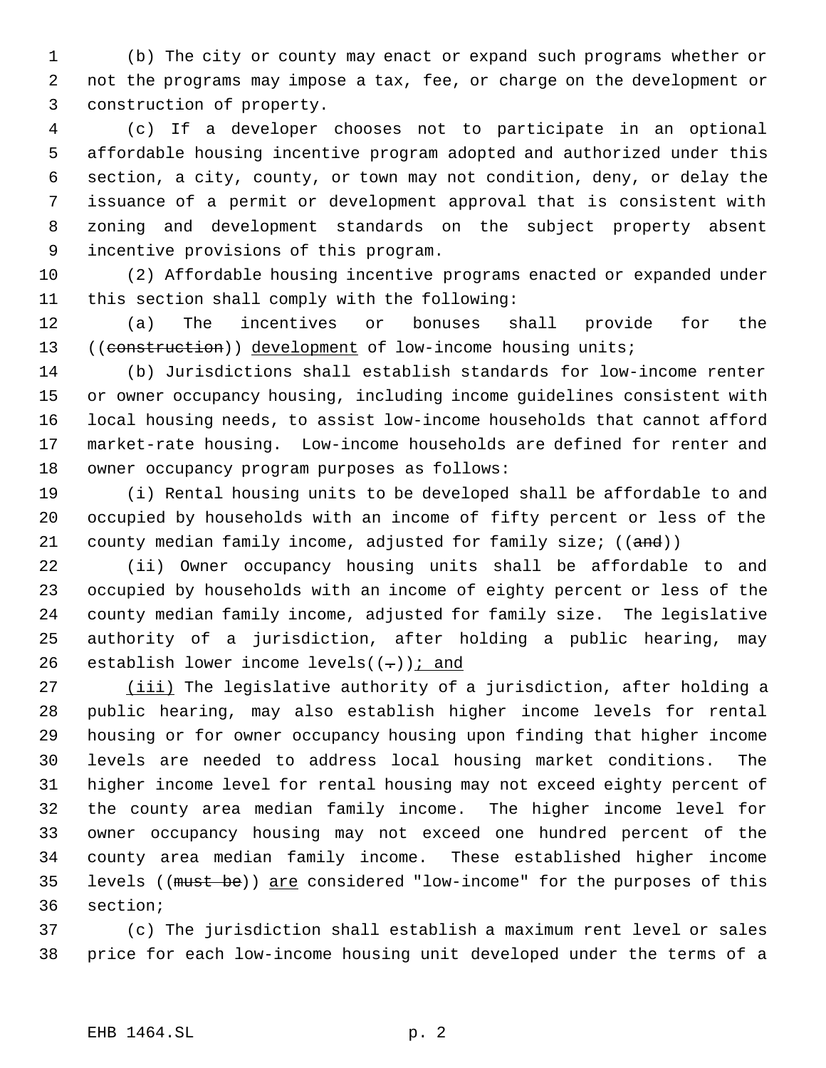(b) The city or county may enact or expand such programs whether or not the programs may impose a tax, fee, or charge on the development or construction of property.

 (c) If a developer chooses not to participate in an optional affordable housing incentive program adopted and authorized under this section, a city, county, or town may not condition, deny, or delay the issuance of a permit or development approval that is consistent with zoning and development standards on the subject property absent incentive provisions of this program.

 (2) Affordable housing incentive programs enacted or expanded under this section shall comply with the following:

 (a) The incentives or bonuses shall provide for the 13 ((construction)) development of low-income housing units;

 (b) Jurisdictions shall establish standards for low-income renter or owner occupancy housing, including income guidelines consistent with local housing needs, to assist low-income households that cannot afford market-rate housing. Low-income households are defined for renter and owner occupancy program purposes as follows:

 (i) Rental housing units to be developed shall be affordable to and occupied by households with an income of fifty percent or less of the 21 county median family income, adjusted for family size; ((and))

 (ii) Owner occupancy housing units shall be affordable to and occupied by households with an income of eighty percent or less of the county median family income, adjusted for family size. The legislative authority of a jurisdiction, after holding a public hearing, may 26 establish lower income levels( $(-)$ ) i and

27 (iii) The legislative authority of a jurisdiction, after holding a public hearing, may also establish higher income levels for rental housing or for owner occupancy housing upon finding that higher income levels are needed to address local housing market conditions. The higher income level for rental housing may not exceed eighty percent of the county area median family income. The higher income level for owner occupancy housing may not exceed one hundred percent of the county area median family income. These established higher income 35 levels ((must be)) are considered "low-income" for the purposes of this section;

 (c) The jurisdiction shall establish a maximum rent level or sales price for each low-income housing unit developed under the terms of a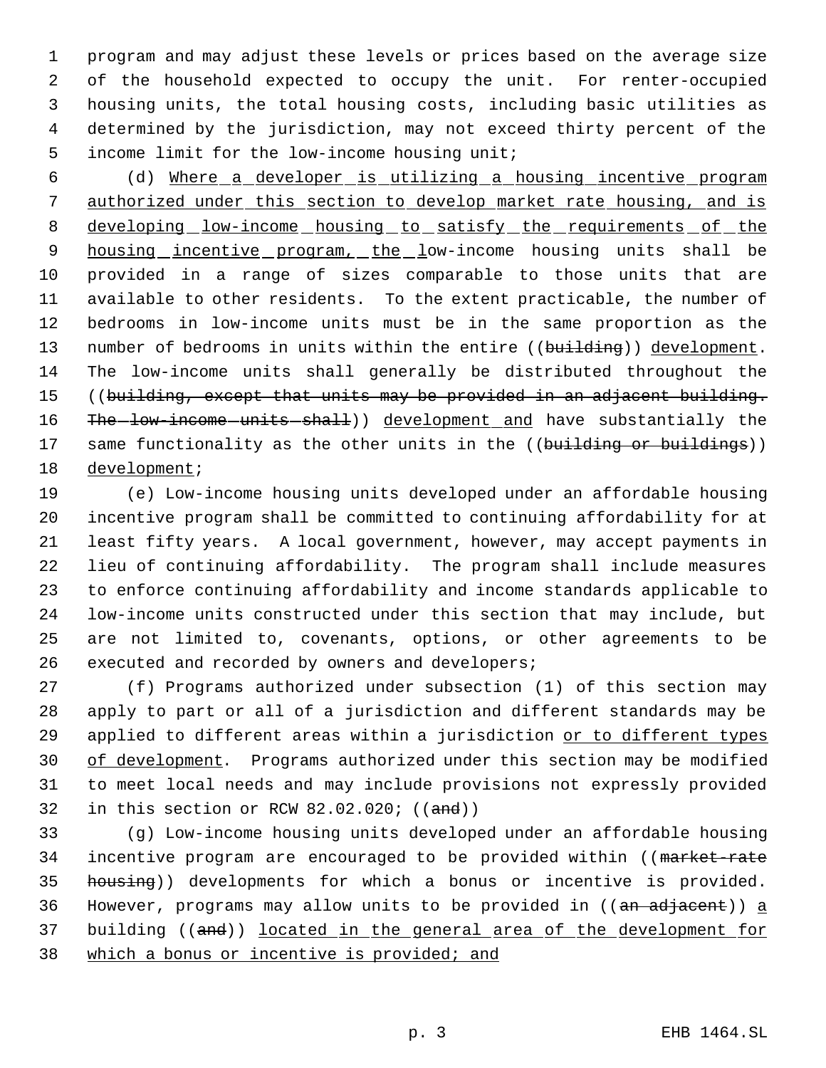program and may adjust these levels or prices based on the average size of the household expected to occupy the unit. For renter-occupied housing units, the total housing costs, including basic utilities as determined by the jurisdiction, may not exceed thirty percent of the income limit for the low-income housing unit;

 (d) Where a developer is utilizing a housing incentive program 7 authorized under this section to develop market rate housing, and is 8 developing low-income housing to satisfy the requirements of the 9 housing incentive program, the low-income housing units shall be provided in a range of sizes comparable to those units that are available to other residents. To the extent practicable, the number of bedrooms in low-income units must be in the same proportion as the 13 number of bedrooms in units within the entire ((building)) development. The low-income units shall generally be distributed throughout the ((building, except that units may be provided in an adjacent building. 16 The-low-income-units-shall)) development and have substantially the 17 same functionality as the other units in the ((building or buildings)) development;

 (e) Low-income housing units developed under an affordable housing incentive program shall be committed to continuing affordability for at least fifty years. A local government, however, may accept payments in lieu of continuing affordability. The program shall include measures to enforce continuing affordability and income standards applicable to low-income units constructed under this section that may include, but are not limited to, covenants, options, or other agreements to be executed and recorded by owners and developers;

 (f) Programs authorized under subsection (1) of this section may apply to part or all of a jurisdiction and different standards may be 29 applied to different areas within a jurisdiction or to different types 30 of development. Programs authorized under this section may be modified to meet local needs and may include provisions not expressly provided 32 in this section or RCW 82.02.020;  $((and))$ 

 (g) Low-income housing units developed under an affordable housing 34 incentive program are encouraged to be provided within ((market-rate 35 housing)) developments for which a bonus or incentive is provided. 36 However, programs may allow units to be provided in  $((an adjacent)) a$  building ((and)) located in the general area of the development for which a bonus or incentive is provided; and